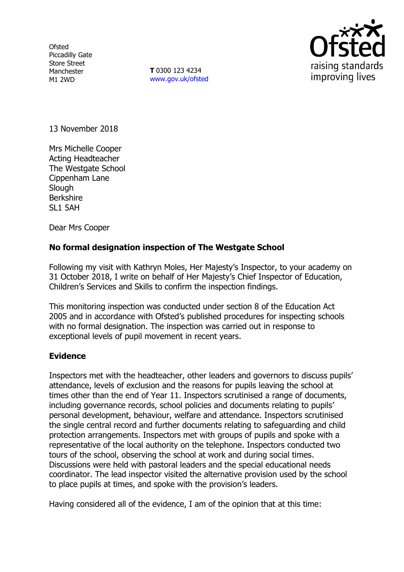**Ofsted** Piccadilly Gate Store Street Manchester M1 2WD

**T** 0300 123 4234 www.gov.uk/ofsted



13 November 2018

Mrs Michelle Cooper Acting Headteacher The Westgate School Cippenham Lane **Slough** Berkshire SL1 5AH

Dear Mrs Cooper

# **No formal designation inspection of The Westgate School**

Following my visit with Kathryn Moles, Her Majesty's Inspector, to your academy on 31 October 2018, I write on behalf of Her Majesty's Chief Inspector of Education, Children's Services and Skills to confirm the inspection findings.

This monitoring inspection was conducted under section 8 of the Education Act 2005 and in accordance with Ofsted's published procedures for inspecting schools with no formal designation. The inspection was carried out in response to exceptional levels of pupil movement in recent years.

## **Evidence**

Inspectors met with the headteacher, other leaders and governors to discuss pupils' attendance, levels of exclusion and the reasons for pupils leaving the school at times other than the end of Year 11. Inspectors scrutinised a range of documents, including governance records, school policies and documents relating to pupils' personal development, behaviour, welfare and attendance. Inspectors scrutinised the single central record and further documents relating to safeguarding and child protection arrangements. Inspectors met with groups of pupils and spoke with a representative of the local authority on the telephone. Inspectors conducted two tours of the school, observing the school at work and during social times. Discussions were held with pastoral leaders and the special educational needs coordinator. The lead inspector visited the alternative provision used by the school to place pupils at times, and spoke with the provision's leaders.

Having considered all of the evidence, I am of the opinion that at this time: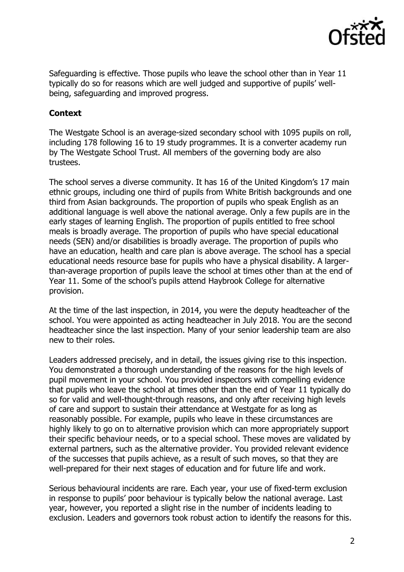

Safeguarding is effective. Those pupils who leave the school other than in Year 11 typically do so for reasons which are well judged and supportive of pupils' wellbeing, safeguarding and improved progress.

## **Context**

The Westgate School is an average-sized secondary school with 1095 pupils on roll, including 178 following 16 to 19 study programmes. It is a converter academy run by The Westgate School Trust. All members of the governing body are also trustees.

The school serves a diverse community. It has 16 of the United Kingdom's 17 main ethnic groups, including one third of pupils from White British backgrounds and one third from Asian backgrounds. The proportion of pupils who speak English as an additional language is well above the national average. Only a few pupils are in the early stages of learning English. The proportion of pupils entitled to free school meals is broadly average. The proportion of pupils who have special educational needs (SEN) and/or disabilities is broadly average. The proportion of pupils who have an education, health and care plan is above average. The school has a special educational needs resource base for pupils who have a physical disability. A largerthan-average proportion of pupils leave the school at times other than at the end of Year 11. Some of the school's pupils attend Haybrook College for alternative provision.

At the time of the last inspection, in 2014, you were the deputy headteacher of the school. You were appointed as acting headteacher in July 2018. You are the second headteacher since the last inspection. Many of your senior leadership team are also new to their roles.

Leaders addressed precisely, and in detail, the issues giving rise to this inspection. You demonstrated a thorough understanding of the reasons for the high levels of pupil movement in your school. You provided inspectors with compelling evidence that pupils who leave the school at times other than the end of Year 11 typically do so for valid and well-thought-through reasons, and only after receiving high levels of care and support to sustain their attendance at Westgate for as long as reasonably possible. For example, pupils who leave in these circumstances are highly likely to go on to alternative provision which can more appropriately support their specific behaviour needs, or to a special school. These moves are validated by external partners, such as the alternative provider. You provided relevant evidence of the successes that pupils achieve, as a result of such moves, so that they are well-prepared for their next stages of education and for future life and work.

Serious behavioural incidents are rare. Each year, your use of fixed-term exclusion in response to pupils' poor behaviour is typically below the national average. Last year, however, you reported a slight rise in the number of incidents leading to exclusion. Leaders and governors took robust action to identify the reasons for this.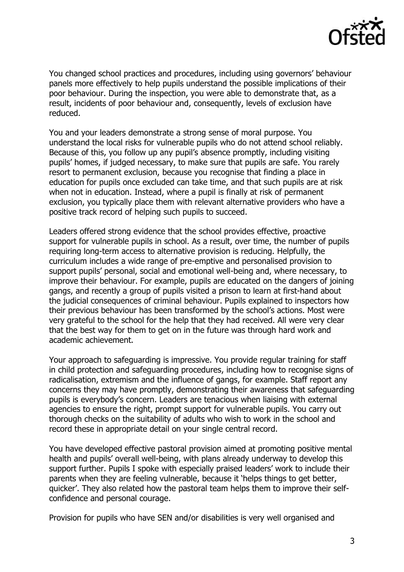

You changed school practices and procedures, including using governors' behaviour panels more effectively to help pupils understand the possible implications of their poor behaviour. During the inspection, you were able to demonstrate that, as a result, incidents of poor behaviour and, consequently, levels of exclusion have reduced.

You and your leaders demonstrate a strong sense of moral purpose. You understand the local risks for vulnerable pupils who do not attend school reliably. Because of this, you follow up any pupil's absence promptly, including visiting pupils' homes, if judged necessary, to make sure that pupils are safe. You rarely resort to permanent exclusion, because you recognise that finding a place in education for pupils once excluded can take time, and that such pupils are at risk when not in education. Instead, where a pupil is finally at risk of permanent exclusion, you typically place them with relevant alternative providers who have a positive track record of helping such pupils to succeed.

Leaders offered strong evidence that the school provides effective, proactive support for vulnerable pupils in school. As a result, over time, the number of pupils requiring long-term access to alternative provision is reducing. Helpfully, the curriculum includes a wide range of pre-emptive and personalised provision to support pupils' personal, social and emotional well-being and, where necessary, to improve their behaviour. For example, pupils are educated on the dangers of joining gangs, and recently a group of pupils visited a prison to learn at first-hand about the judicial consequences of criminal behaviour. Pupils explained to inspectors how their previous behaviour has been transformed by the school's actions. Most were very grateful to the school for the help that they had received. All were very clear that the best way for them to get on in the future was through hard work and academic achievement.

Your approach to safeguarding is impressive. You provide regular training for staff in child protection and safeguarding procedures, including how to recognise signs of radicalisation, extremism and the influence of gangs, for example. Staff report any concerns they may have promptly, demonstrating their awareness that safeguarding pupils is everybody's concern. Leaders are tenacious when liaising with external agencies to ensure the right, prompt support for vulnerable pupils. You carry out thorough checks on the suitability of adults who wish to work in the school and record these in appropriate detail on your single central record.

You have developed effective pastoral provision aimed at promoting positive mental health and pupils' overall well-being, with plans already underway to develop this support further. Pupils I spoke with especially praised leaders' work to include their parents when they are feeling vulnerable, because it 'helps things to get better, quicker'. They also related how the pastoral team helps them to improve their selfconfidence and personal courage.

Provision for pupils who have SEN and/or disabilities is very well organised and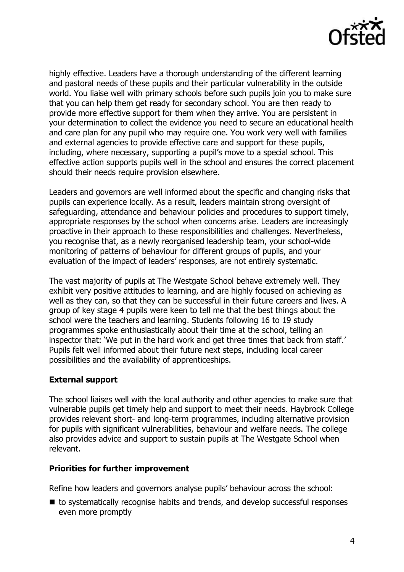

highly effective. Leaders have a thorough understanding of the different learning and pastoral needs of these pupils and their particular vulnerability in the outside world. You liaise well with primary schools before such pupils join you to make sure that you can help them get ready for secondary school. You are then ready to provide more effective support for them when they arrive. You are persistent in your determination to collect the evidence you need to secure an educational health and care plan for any pupil who may require one. You work very well with families and external agencies to provide effective care and support for these pupils, including, where necessary, supporting a pupil's move to a special school. This effective action supports pupils well in the school and ensures the correct placement should their needs require provision elsewhere.

Leaders and governors are well informed about the specific and changing risks that pupils can experience locally. As a result, leaders maintain strong oversight of safeguarding, attendance and behaviour policies and procedures to support timely, appropriate responses by the school when concerns arise. Leaders are increasingly proactive in their approach to these responsibilities and challenges. Nevertheless, you recognise that, as a newly reorganised leadership team, your school-wide monitoring of patterns of behaviour for different groups of pupils, and your evaluation of the impact of leaders' responses, are not entirely systematic.

The vast majority of pupils at The Westgate School behave extremely well. They exhibit very positive attitudes to learning, and are highly focused on achieving as well as they can, so that they can be successful in their future careers and lives. A group of key stage 4 pupils were keen to tell me that the best things about the school were the teachers and learning. Students following 16 to 19 study programmes spoke enthusiastically about their time at the school, telling an inspector that: 'We put in the hard work and get three times that back from staff.' Pupils felt well informed about their future next steps, including local career possibilities and the availability of apprenticeships.

## **External support**

The school liaises well with the local authority and other agencies to make sure that vulnerable pupils get timely help and support to meet their needs. Haybrook College provides relevant short- and long-term programmes, including alternative provision for pupils with significant vulnerabilities, behaviour and welfare needs. The college also provides advice and support to sustain pupils at The Westgate School when relevant.

#### **Priorities for further improvement**

Refine how leaders and governors analyse pupils' behaviour across the school:

■ to systematically recognise habits and trends, and develop successful responses even more promptly